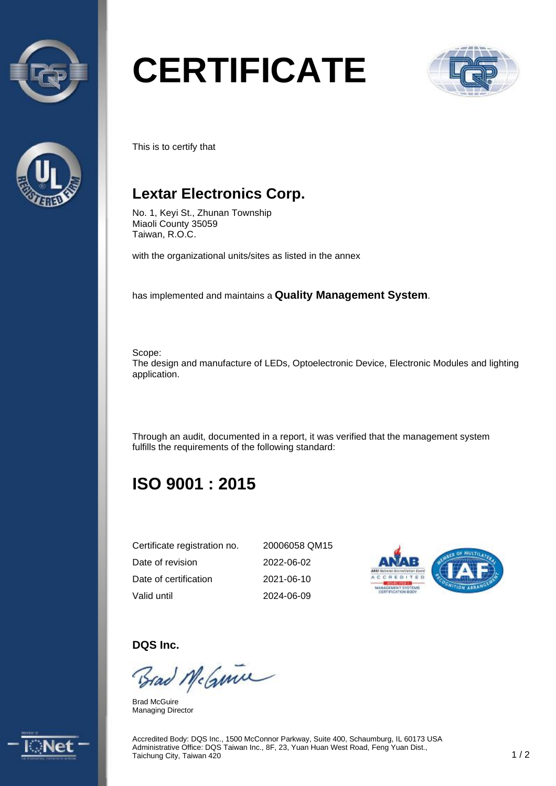



# **CERTIFICATE**



This is to certify that

## **Lextar Electronics Corp.**

No. 1, Keyi St., Zhunan Township Miaoli County 35059 Taiwan, R.O.C.

with the organizational units/sites as listed in the annex

has implemented and maintains a **Quality Management System**.

Scope: The design and manufacture of LEDs, Optoelectronic Device, Electronic Modules and lighting application.

Through an audit, documented in a report, it was verified that the management system fulfills the requirements of the following standard:

## **ISO 9001 : 2015**

| Certificate registration no. | 20006058 QM15    |
|------------------------------|------------------|
| Date of revision             | 2022-06-02       |
| Date of certification        | $2021 - 06 - 10$ |
| Valid until                  | 2024-06-09       |



**DQS Inc.** 

Brad McGuine

Brad McGuire Managing Director



Accredited Body: DQS Inc., 1500 McConnor Parkway, Suite 400, Schaumburg, IL 60173 USA Administrative Office: DQS Taiwan Inc., 8F, 23, Yuan Huan West Road, Feng Yuan Dist., Taichung City, Taiwan 420 1 annah menjadi pengaruhaan mesandasan dengan besar besar, 1 / 2 1 / 2 1 / 2 1 / 2 1